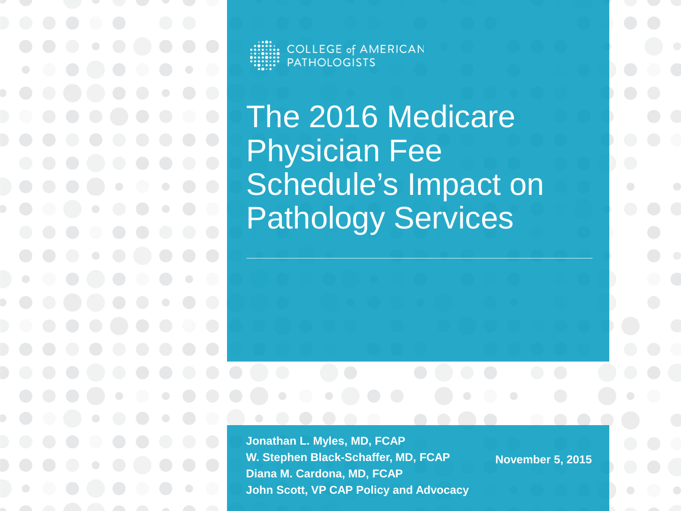**COLLEGE of AMERICAN PATHOLOGISTS** 

The 2016 Medicare Physician Fee Schedule's Impact on Pathology Services

**Jonathan L. Myles, MD, FCAP W. Stephen Black-Schaffer, MD, FCAP Diana M. Cardona, MD, FCAP John Scott, VP CAP Policy and Advocacy**

**November 5, 2015**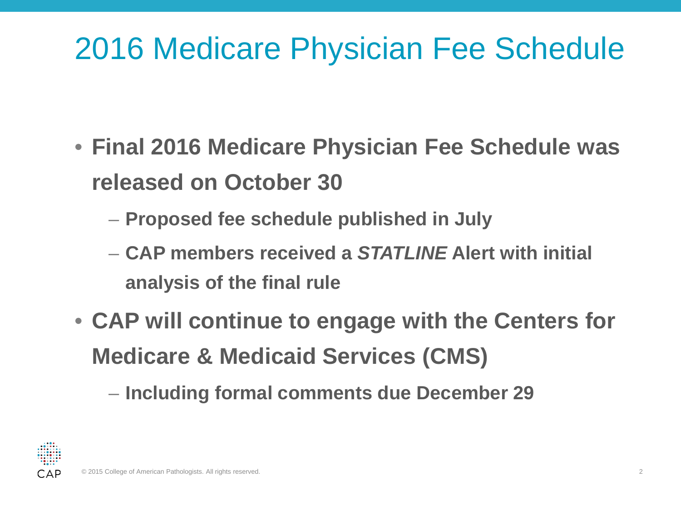#### 2016 Medicare Physician Fee Schedule

- **Final 2016 Medicare Physician Fee Schedule was released on October 30**
	- **Proposed fee schedule published in July**
	- **CAP members received a** *STATLINE* **Alert with initial analysis of the final rule**
- **CAP will continue to engage with the Centers for Medicare & Medicaid Services (CMS)**

– **Including formal comments due December 29**

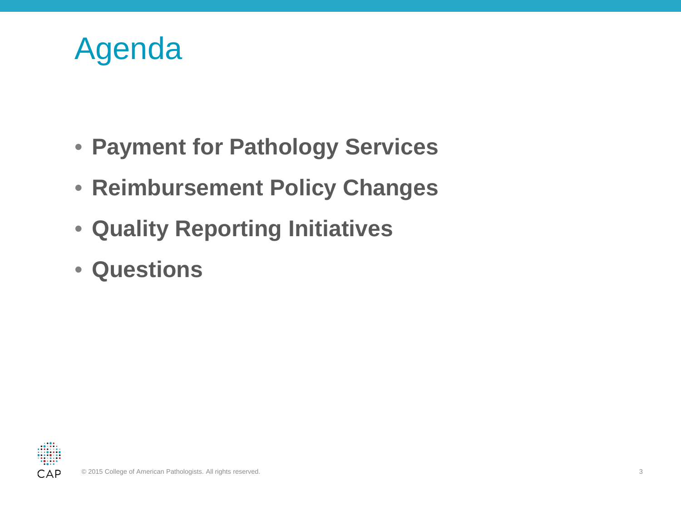#### Agenda

- **Payment for Pathology Services**
- **Reimbursement Policy Changes**
- **Quality Reporting Initiatives**
- **Questions**

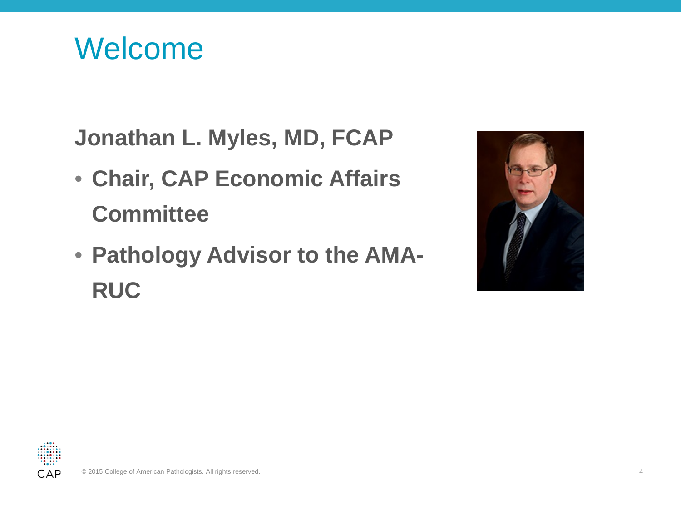Welcome

**Jonathan L. Myles, MD, FCAP**

- **Chair, CAP Economic Affairs Committee**
- **Pathology Advisor to the AMA-RUC**



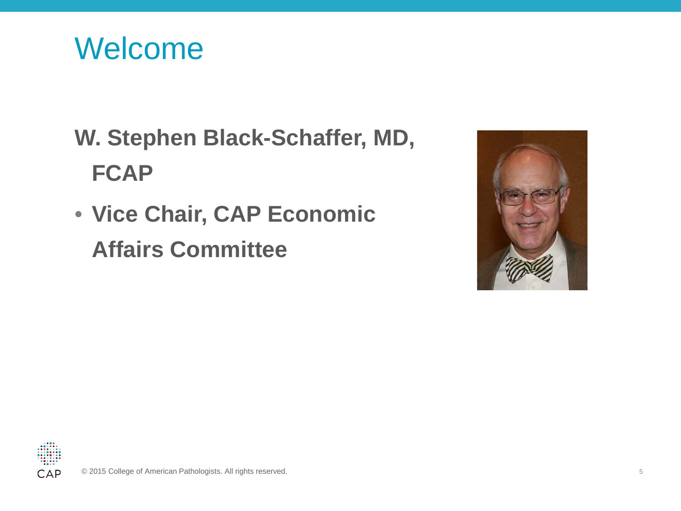

#### **W. Stephen Black-Schaffer, MD, FCAP**

• **Vice Chair, CAP Economic Affairs Committee** 



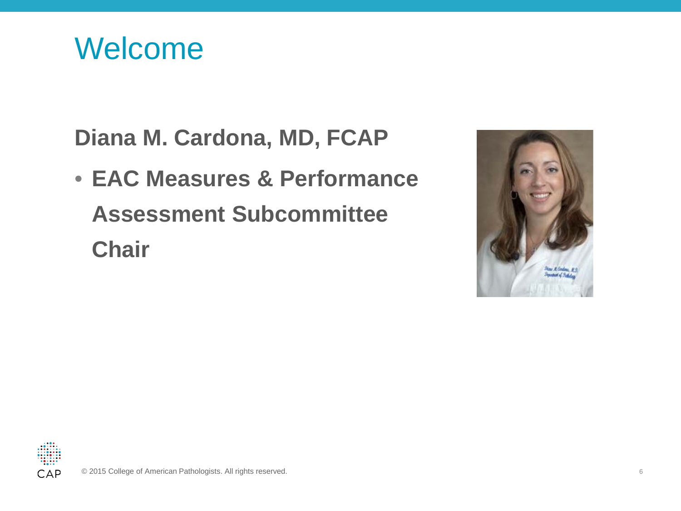Welcome

**Diana M. Cardona, MD, FCAP**

• **EAC Measures & Performance Assessment Subcommittee Chair**



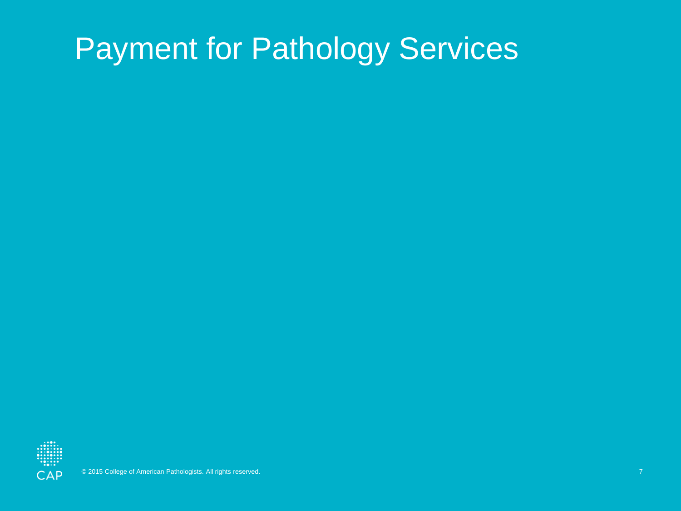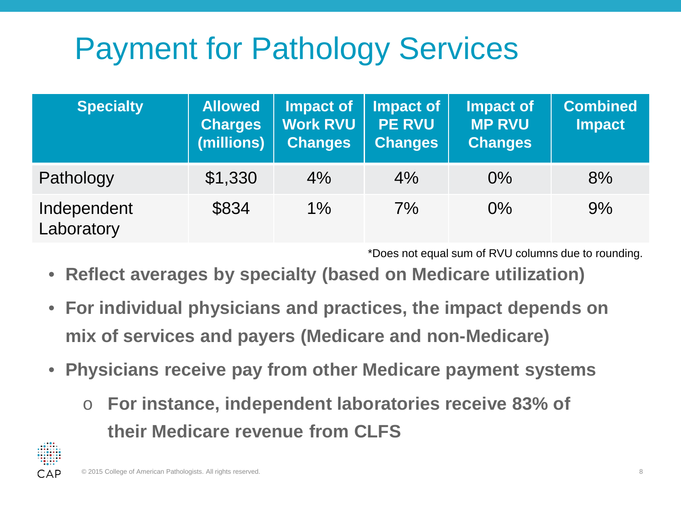| <b>Specialty</b>          | <b>Allowed</b><br><b>Charges</b><br>(millions) | <b>Impact of</b><br><b>Work RVU</b><br><b>Changes</b> | Impact of<br><b>PE RVU</b><br><b>Changes</b> | <b>Impact of</b><br><b>MP RVU</b><br><b>Changes</b> | <b>Combined</b><br><b>Impact</b> |
|---------------------------|------------------------------------------------|-------------------------------------------------------|----------------------------------------------|-----------------------------------------------------|----------------------------------|
| Pathology                 | \$1,330                                        | 4%                                                    | 4%                                           | $0\%$                                               | 8%                               |
| Independent<br>Laboratory | \$834                                          | $1\%$                                                 | 7%                                           | $0\%$                                               | 9%                               |

\*Does not equal sum of RVU columns due to rounding.

- **Reflect averages by specialty (based on Medicare utilization)**
- **For individual physicians and practices, the impact depends on mix of services and payers (Medicare and non-Medicare)**
- **Physicians receive pay from other Medicare payment systems**
	- o **For instance, independent laboratories receive 83% of their Medicare revenue from CLFS**

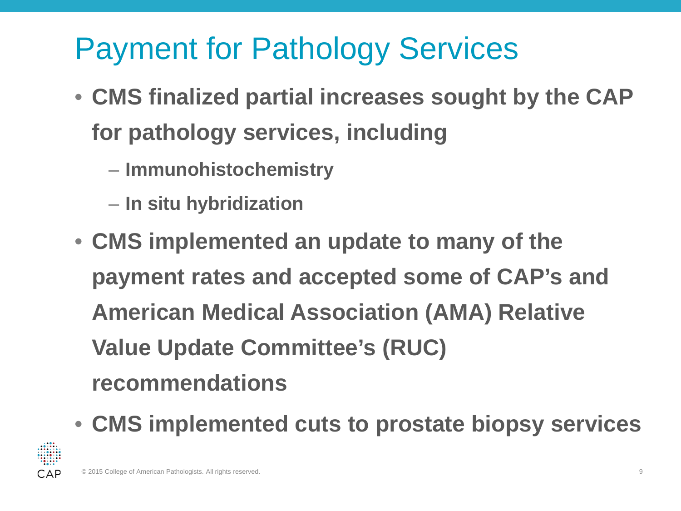- **CMS finalized partial increases sought by the CAP for pathology services, including**
	- **Immunohistochemistry**
	- **In situ hybridization**
- **CMS implemented an update to many of the payment rates and accepted some of CAP's and American Medical Association (AMA) Relative Value Update Committee's (RUC) recommendations**
- **CMS implemented cuts to prostate biopsy services**

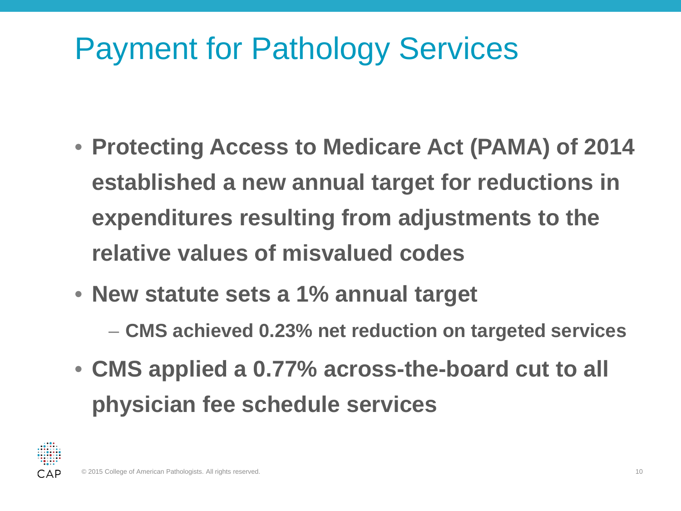- **Protecting Access to Medicare Act (PAMA) of 2014 established a new annual target for reductions in expenditures resulting from adjustments to the relative values of misvalued codes**
- **New statute sets a 1% annual target**
	- **CMS achieved 0.23% net reduction on targeted services**
- **CMS applied a 0.77% across-the-board cut to all physician fee schedule services**

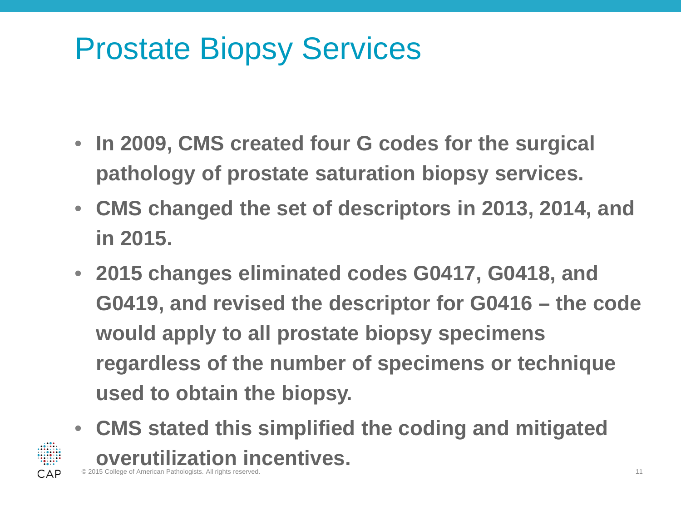#### Prostate Biopsy Services

- **In 2009, CMS created four G codes for the surgical pathology of prostate saturation biopsy services.**
- **CMS changed the set of descriptors in 2013, 2014, and in 2015.**
- **2015 changes eliminated codes G0417, G0418, and G0419, and revised the descriptor for G0416 – the code would apply to all prostate biopsy specimens regardless of the number of specimens or technique used to obtain the biopsy.**
- **CMS stated this simplified the coding and mitigated overutilization incentives. College of American Pathologists. All rights reserved.** 11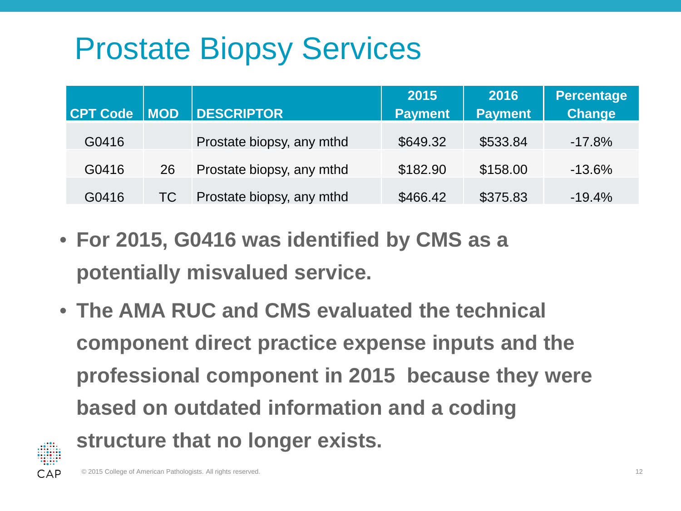## Prostate Biopsy Services

| <b>CPT Code</b> | MOD       | <b>DESCRIPTOR</b>         | 2015<br><b>Payment</b> | 2016<br><b>Payment</b> | <b>Percentage</b><br><b>Change</b> |
|-----------------|-----------|---------------------------|------------------------|------------------------|------------------------------------|
| G0416           |           | Prostate biopsy, any mthd | \$649.32               | \$533.84               | $-17.8%$                           |
| G0416           | 26        | Prostate biopsy, any mthd | \$182.90               | \$158.00               | $-13.6%$                           |
| G0416           | <b>TC</b> | Prostate biopsy, any mthd | \$466.42               | \$375.83               | $-19.4%$                           |

- **For 2015, G0416 was identified by CMS as a potentially misvalued service.**
- **The AMA RUC and CMS evaluated the technical component direct practice expense inputs and the professional component in 2015 because they were based on outdated information and a coding structure that no longer exists.**

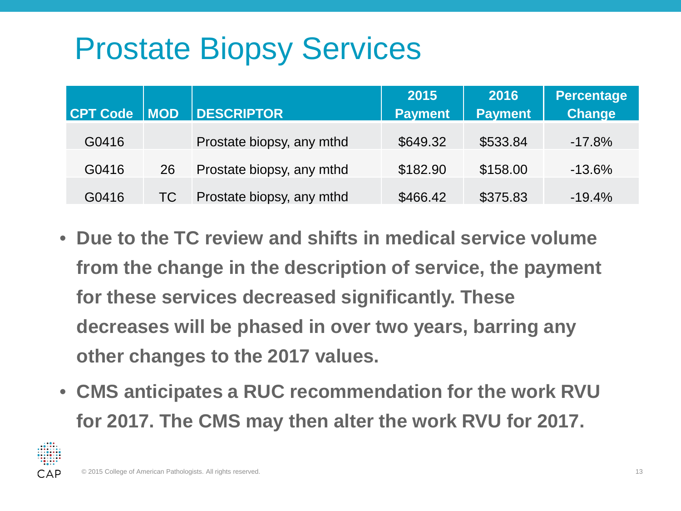## Prostate Biopsy Services

| CPT Code   MOD |    | <b>DESCRIPTOR</b>         | 2015<br><b>Payment</b> | 2016<br><b>Payment</b> | <b>Percentage</b><br><b>Change</b> |
|----------------|----|---------------------------|------------------------|------------------------|------------------------------------|
| G0416          |    | Prostate biopsy, any mthd | \$649.32               | \$533.84               | $-17.8%$                           |
| G0416          | 26 | Prostate biopsy, any mthd | \$182.90               | \$158.00               | $-13.6%$                           |
| G0416          | TC | Prostate biopsy, any mthd | \$466.42               | \$375.83               | $-19.4%$                           |

- **Due to the TC review and shifts in medical service volume from the change in the description of service, the payment for these services decreased significantly. These decreases will be phased in over two years, barring any other changes to the 2017 values.**
- **CMS anticipates a RUC recommendation for the work RVU for 2017. The CMS may then alter the work RVU for 2017.**

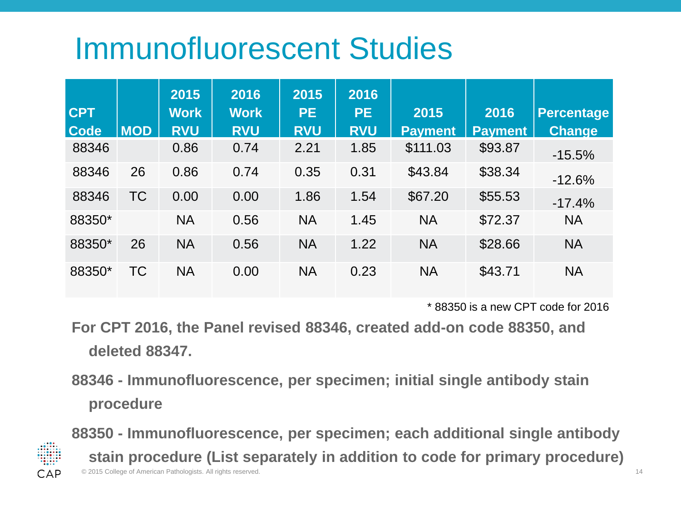#### Immunofluorescent Studies

|             |            | 2015        | 2016        | 2015       | 2016       |                |                |                   |
|-------------|------------|-------------|-------------|------------|------------|----------------|----------------|-------------------|
| <b>CPT</b>  |            | <b>Work</b> | <b>Work</b> | <b>PE</b>  | <b>PE</b>  | 2015           | 2016           | <b>Percentage</b> |
| <b>Code</b> | <b>MOD</b> | <b>RVU</b>  | <b>RVU</b>  | <b>RVU</b> | <b>RVU</b> | <b>Payment</b> | <b>Payment</b> | <b>Change</b>     |
| 88346       |            | 0.86        | 0.74        | 2.21       | 1.85       | \$111.03       | \$93.87        | $-15.5%$          |
| 88346       | 26         | 0.86        | 0.74        | 0.35       | 0.31       | \$43.84        | \$38.34        | $-12.6%$          |
| 88346       | <b>TC</b>  | 0.00        | 0.00        | 1.86       | 1.54       | \$67.20        | \$55.53        | $-17.4%$          |
| 88350*      |            | <b>NA</b>   | 0.56        | <b>NA</b>  | 1.45       | <b>NA</b>      | \$72.37        | <b>NA</b>         |
| 88350*      | 26         | <b>NA</b>   | 0.56        | <b>NA</b>  | 1.22       | <b>NA</b>      | \$28.66        | <b>NA</b>         |
| 88350*      | TC         | <b>NA</b>   | 0.00        | <b>NA</b>  | 0.23       | <b>NA</b>      | \$43.71        | <b>NA</b>         |

\* 88350 is a new CPT code for 2016

**For CPT 2016, the Panel revised 88346, created add-on code 88350, and deleted 88347.**

**88346 - Immunofluorescence, per specimen; initial single antibody stain procedure**



© 2015 College of American Pathologists. All rights reserved. 14 **88350 - Immunofluorescence, per specimen; each additional single antibody stain procedure (List separately in addition to code for primary procedure)**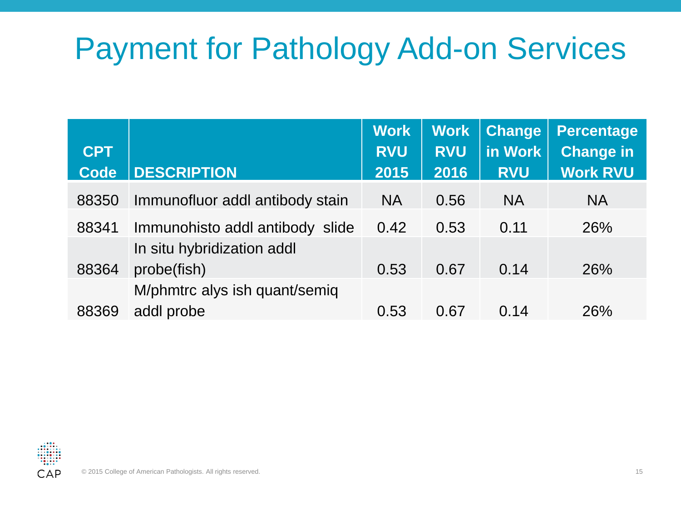#### Payment for Pathology Add-on Services

| <b>CPT</b><br><b>Code</b> | <b>DESCRIPTION</b>              | <b>Work</b><br><b>RVU</b><br>2015 | <b>Work</b><br><b>RVU</b><br>2016 | <b>Change</b><br>in Work<br><b>RVU</b> | <b>Percentage</b><br><b>Change in</b><br><b>Work RVU</b> |
|---------------------------|---------------------------------|-----------------------------------|-----------------------------------|----------------------------------------|----------------------------------------------------------|
| 88350                     | Immunofluor addl antibody stain | <b>NA</b>                         | 0.56                              | <b>NA</b>                              | <b>NA</b>                                                |
| 88341                     | Immunohisto addl antibody slide | 0.42                              | 0.53                              | 0.11                                   | 26%                                                      |
|                           | In situ hybridization addl      |                                   |                                   |                                        |                                                          |
| 88364                     | probe(fish)                     | 0.53                              | 0.67                              | 0.14                                   | 26%                                                      |
|                           | M/phmtrc alys ish quant/semiq   |                                   |                                   |                                        |                                                          |
| 88369                     | addl probe                      | 0.53                              | 0.67                              | 0.14                                   | 26%                                                      |

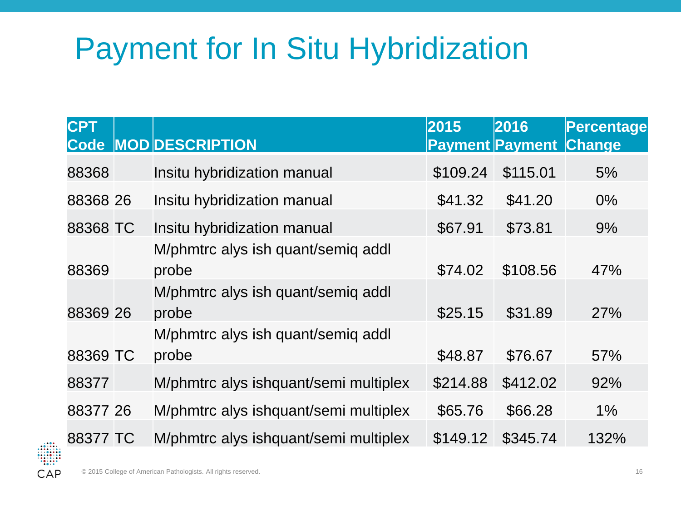## Payment for In Situ Hybridization

| <b>CPT</b> | Code MOD DESCRIPTION                        | 2015     | 2016<br><b>Payment Payment Change</b> | Percentage |
|------------|---------------------------------------------|----------|---------------------------------------|------------|
| 88368      | Insitu hybridization manual                 | \$109.24 | \$115.01                              | 5%         |
| 88368 26   | Insitu hybridization manual                 | \$41.32  | \$41.20                               | $0\%$      |
| 88368 TC   | Insitu hybridization manual                 | \$67.91  | \$73.81                               | 9%         |
| 88369      | M/phmtrc alys ish quant/semig addl<br>probe | \$74.02  | \$108.56                              | 47%        |
| 88369 26   | M/phmtrc alys ish quant/semiq addl<br>probe | \$25.15  | \$31.89                               | <b>27%</b> |
| 88369 TC   | M/phmtrc alys ish quant/semig addl<br>probe | \$48.87  | \$76.67                               | 57%        |
| 88377      | M/phmtrc alys ishquant/semi multiplex       | \$214.88 | \$412.02                              | 92%        |
| 88377 26   | M/phmtrc alys ishquant/semi multiplex       | \$65.76  | \$66.28                               | 1%         |
| 88377 TC   | M/phmtrc alys ishquant/semi multiplex       | \$149.12 | \$345.74                              | 132%       |

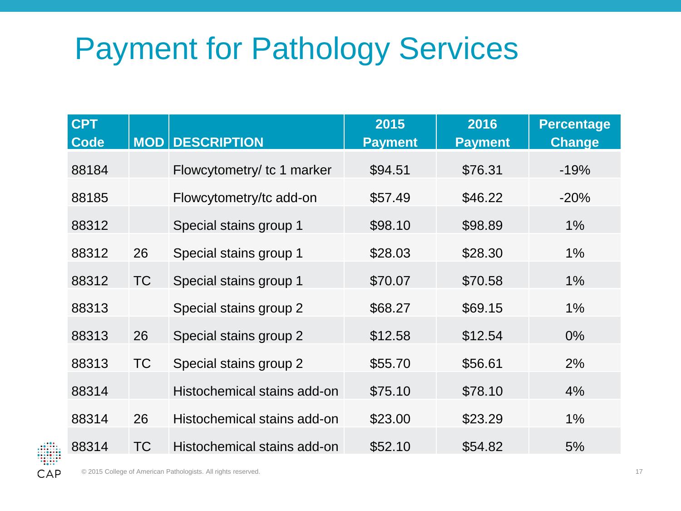| <b>CPT</b><br><b>Code</b> |           | <b>MOD DESCRIPTION</b>      | 2015<br><b>Payment</b> | 2016<br><b>Payment</b> | <b>Percentage</b><br><b>Change</b> |
|---------------------------|-----------|-----------------------------|------------------------|------------------------|------------------------------------|
| 88184                     |           | Flowcytometry/ tc 1 marker  | \$94.51                | \$76.31                | $-19%$                             |
| 88185                     |           | Flowcytometry/tc add-on     | \$57.49                | \$46.22                | $-20%$                             |
| 88312                     |           | Special stains group 1      | \$98.10                | \$98.89                | $1\%$                              |
| 88312                     | 26        | Special stains group 1      | \$28.03                | \$28.30                | $1\%$                              |
| 88312                     | <b>TC</b> | Special stains group 1      | \$70.07                | \$70.58                | $1\%$                              |
| 88313                     |           | Special stains group 2      | \$68.27                | \$69.15                | $1\%$                              |
| 88313                     | 26        | Special stains group 2      | \$12.58                | \$12.54                | $0\%$                              |
| 88313                     | <b>TC</b> | Special stains group 2      | \$55.70                | \$56.61                | 2%                                 |
| 88314                     |           | Histochemical stains add-on | \$75.10                | \$78.10                | 4%                                 |
| 88314                     | 26        | Histochemical stains add-on | \$23.00                | \$23.29                | $1\%$                              |
| 88314                     | <b>TC</b> | Histochemical stains add-on | \$52.10                | \$54.82                | 5%                                 |

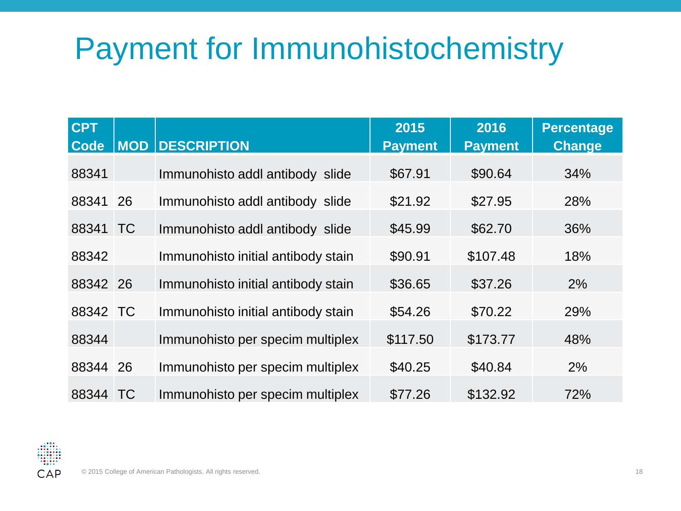## Payment for Immunohistochemistry

| <b>CPT</b><br><b>Code</b> |           | <b>MOD DESCRIPTION</b>             | 2015<br><b>Payment</b> | 2016<br><b>Payment</b> | <b>Percentage</b><br><b>Change</b> |
|---------------------------|-----------|------------------------------------|------------------------|------------------------|------------------------------------|
| 88341                     |           | Immunohisto addl antibody slide    | \$67.91                | \$90.64                | 34%                                |
| 88341                     | 26        | Immunohisto addl antibody slide    | \$21.92                | \$27.95                | 28%                                |
| 88341 TC                  |           | Immunohisto addl antibody slide    | \$45.99                | \$62.70                | 36%                                |
| 88342                     |           | Immunohisto initial antibody stain | \$90.91                | \$107.48               | 18%                                |
| 88342 26                  |           | Immunohisto initial antibody stain | \$36.65                | \$37.26                | 2%                                 |
| 88342 TC                  |           | Immunohisto initial antibody stain | \$54.26                | \$70.22                | 29%                                |
| 88344                     |           | Immunohisto per specim multiplex   | \$117.50               | \$173.77               | 48%                                |
| 88344 26                  |           | Immunohisto per specim multiplex   | \$40.25                | \$40.84                | 2%                                 |
| 88344                     | <b>TC</b> | Immunohisto per specim multiplex   | \$77.26                | \$132.92               | 72%                                |

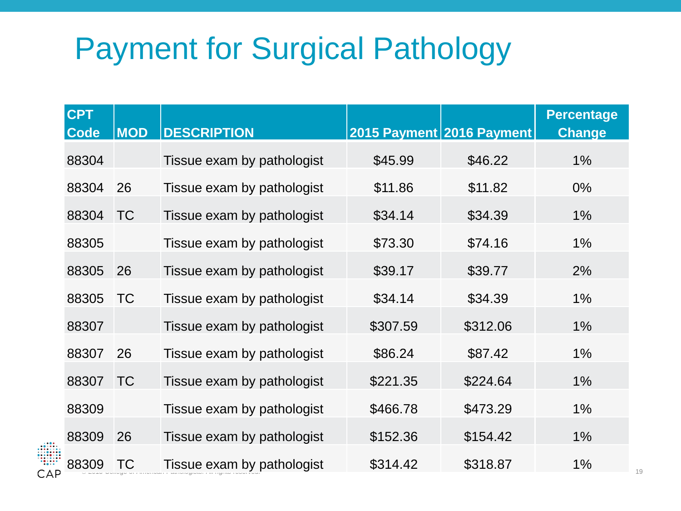#### Payment for Surgical Pathology

| <b>CPT</b><br><b>Code</b> | <b>MOD</b> | <b>DESCRIPTION</b>         |          | 2015 Payment 2016 Payment | <b>Percentage</b><br><b>Change</b> |
|---------------------------|------------|----------------------------|----------|---------------------------|------------------------------------|
| 88304                     |            | Tissue exam by pathologist | \$45.99  | \$46.22                   | $1\%$                              |
| 88304                     | 26         | Tissue exam by pathologist | \$11.86  | \$11.82                   | $0\%$                              |
| 88304                     | <b>TC</b>  | Tissue exam by pathologist | \$34.14  | \$34.39                   | $1\%$                              |
| 88305                     |            | Tissue exam by pathologist | \$73.30  | \$74.16                   | $1\%$                              |
| 88305                     | 26         | Tissue exam by pathologist | \$39.17  | \$39.77                   | 2%                                 |
| 88305                     | <b>TC</b>  | Tissue exam by pathologist | \$34.14  | \$34.39                   | $1\%$                              |
| 88307                     |            | Tissue exam by pathologist | \$307.59 | \$312.06                  | $1\%$                              |
| 88307                     | 26         | Tissue exam by pathologist | \$86.24  | \$87.42                   | $1\%$                              |
| 88307                     | <b>TC</b>  | Tissue exam by pathologist | \$221.35 | \$224.64                  | 1%                                 |
| 88309                     |            | Tissue exam by pathologist | \$466.78 | \$473.29                  | $1\%$                              |
| 88309                     | 26         | Tissue exam by pathologist | \$152.36 | \$154.42                  | 1%                                 |
| 88309                     | <b>TC</b>  | Tissue exam by pathologist | \$314.42 | \$318.87                  | $1\%$                              |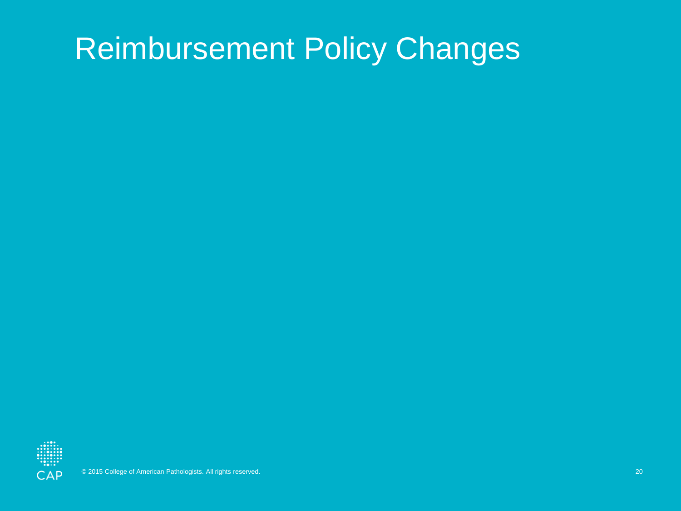#### Reimbursement Policy Changes

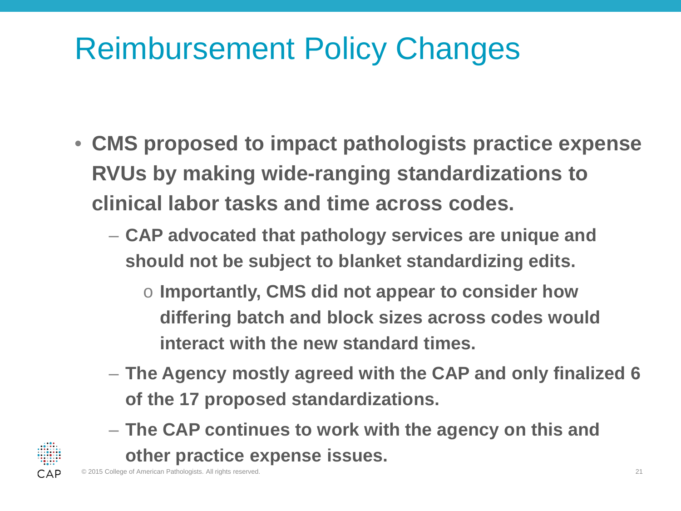## Reimbursement Policy Changes

- **CMS proposed to impact pathologists practice expense RVUs by making wide-ranging standardizations to clinical labor tasks and time across codes.**
	- **CAP advocated that pathology services are unique and should not be subject to blanket standardizing edits.**
		- o **Importantly, CMS did not appear to consider how differing batch and block sizes across codes would interact with the new standard times.**
	- **The Agency mostly agreed with the CAP and only finalized 6 of the 17 proposed standardizations.**
	- **The CAP continues to work with the agency on this and other practice expense issues.**

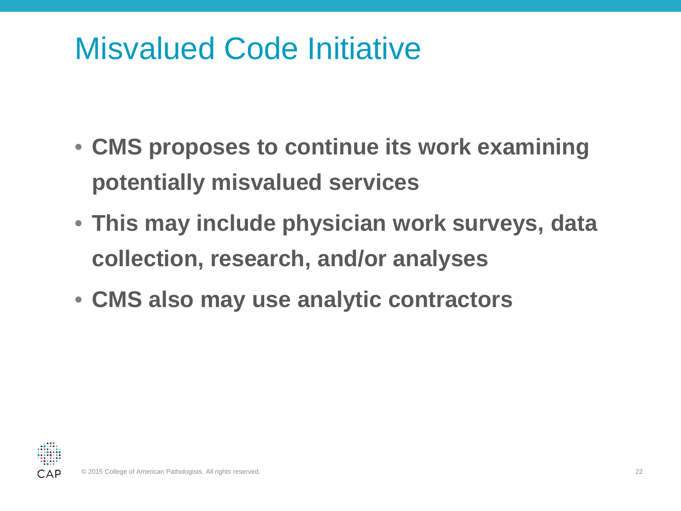#### Misvalued Code Initiative

- **CMS proposes to continue its work examining potentially misvalued services**
- **This may include physician work surveys, data collection, research, and/or analyses**
- **CMS also may use analytic contractors**

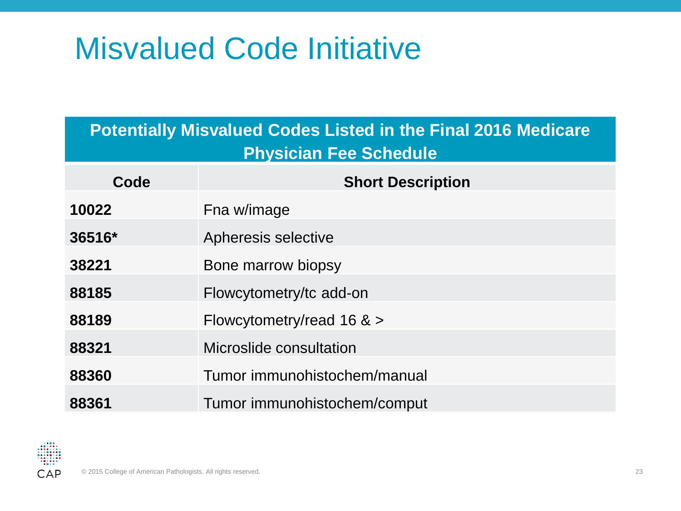#### Misvalued Code Initiative

| <b>Potentially Misvalued Codes Listed in the Final 2016 Medicare</b><br><b>Physician Fee Schedule</b> |                              |  |  |  |  |
|-------------------------------------------------------------------------------------------------------|------------------------------|--|--|--|--|
| Code                                                                                                  | <b>Short Description</b>     |  |  |  |  |
| 10022                                                                                                 | Fna w/image                  |  |  |  |  |
| 36516*                                                                                                | Apheresis selective          |  |  |  |  |
| 38221                                                                                                 | Bone marrow biopsy           |  |  |  |  |
| 88185                                                                                                 | Flowcytometry/tc add-on      |  |  |  |  |
| 88189                                                                                                 | Flowcytometry/read 16 $>$    |  |  |  |  |
| 88321                                                                                                 | Microslide consultation      |  |  |  |  |
| 88360                                                                                                 | Tumor immunohistochem/manual |  |  |  |  |
| 88361                                                                                                 | Tumor immunohistochem/comput |  |  |  |  |

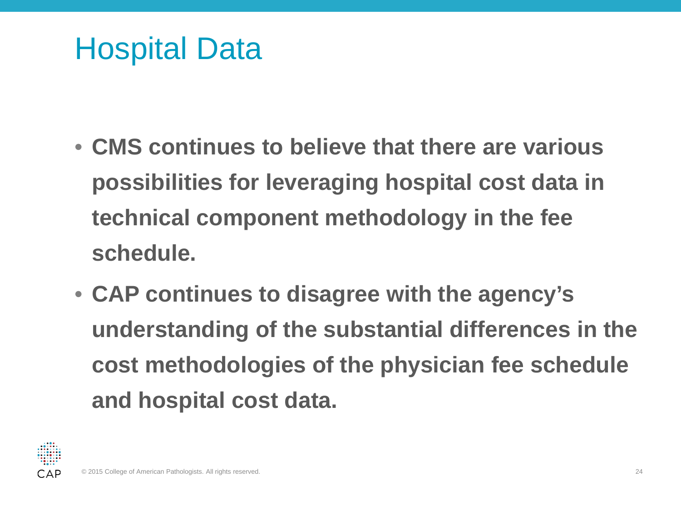#### Hospital Data

- **CMS continues to believe that there are various possibilities for leveraging hospital cost data in technical component methodology in the fee schedule.**
- **CAP continues to disagree with the agency's understanding of the substantial differences in the cost methodologies of the physician fee schedule and hospital cost data.**

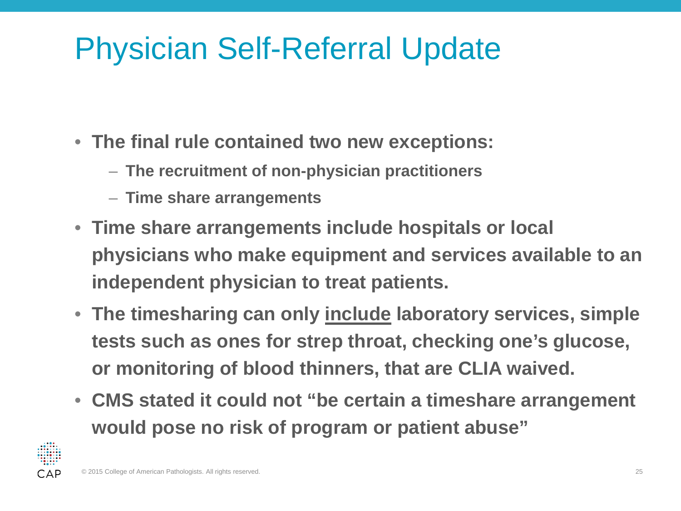#### Physician Self-Referral Update

- **The final rule contained two new exceptions:**
	- **The recruitment of non-physician practitioners**
	- **Time share arrangements**
- **Time share arrangements include hospitals or local physicians who make equipment and services available to an independent physician to treat patients.**
- **The timesharing can only include laboratory services, simple tests such as ones for strep throat, checking one's glucose, or monitoring of blood thinners, that are CLIA waived.**
- **CMS stated it could not "be certain a timeshare arrangement would pose no risk of program or patient abuse"**

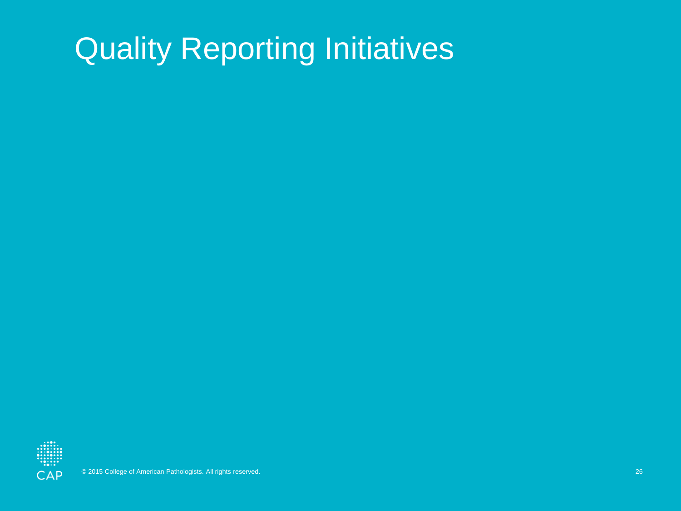## Quality Reporting Initiatives

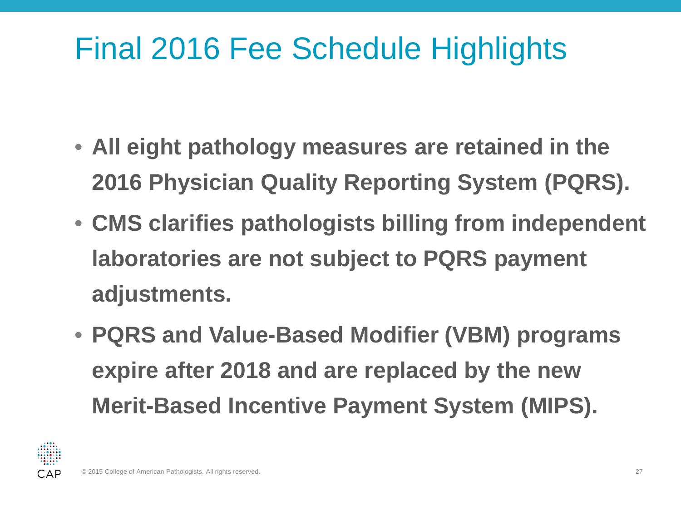#### Final 2016 Fee Schedule Highlights

- **All eight pathology measures are retained in the 2016 Physician Quality Reporting System (PQRS).**
- **CMS clarifies pathologists billing from independent laboratories are not subject to PQRS payment adjustments.**
- **PQRS and Value-Based Modifier (VBM) programs expire after 2018 and are replaced by the new Merit-Based Incentive Payment System (MIPS).**

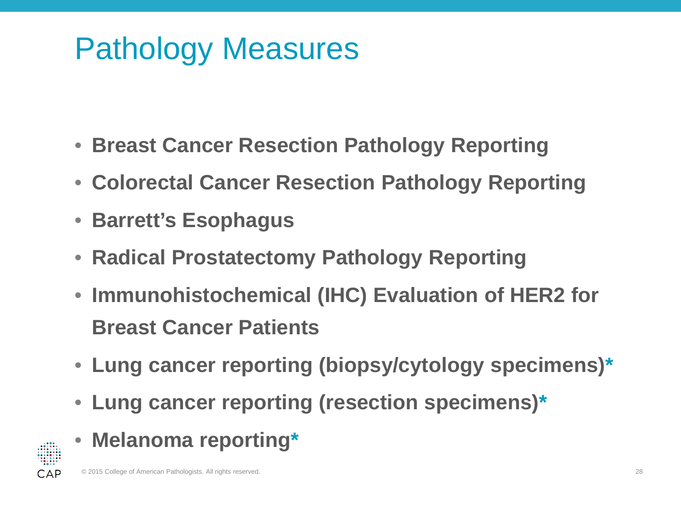### Pathology Measures

- **Breast Cancer Resection Pathology Reporting**
- **Colorectal Cancer Resection Pathology Reporting**
- **Barrett's Esophagus**
- **Radical Prostatectomy Pathology Reporting**
- **Immunohistochemical (IHC) Evaluation of HER2 for Breast Cancer Patients**
- **Lung cancer reporting (biopsy/cytology specimens)\***
- **Lung cancer reporting (resection specimens)\***
- **Melanoma reporting\***

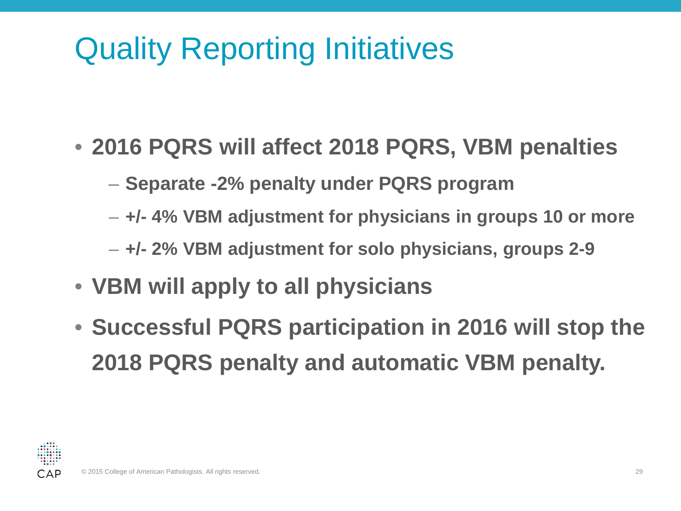## Quality Reporting Initiatives

- **2016 PQRS will affect 2018 PQRS, VBM penalties**
	- **Separate -2% penalty under PQRS program**
	- **+/- 4% VBM adjustment for physicians in groups 10 or more**
	- **+/- 2% VBM adjustment for solo physicians, groups 2-9**
- **VBM will apply to all physicians**
- **Successful PQRS participation in 2016 will stop the 2018 PQRS penalty and automatic VBM penalty.**

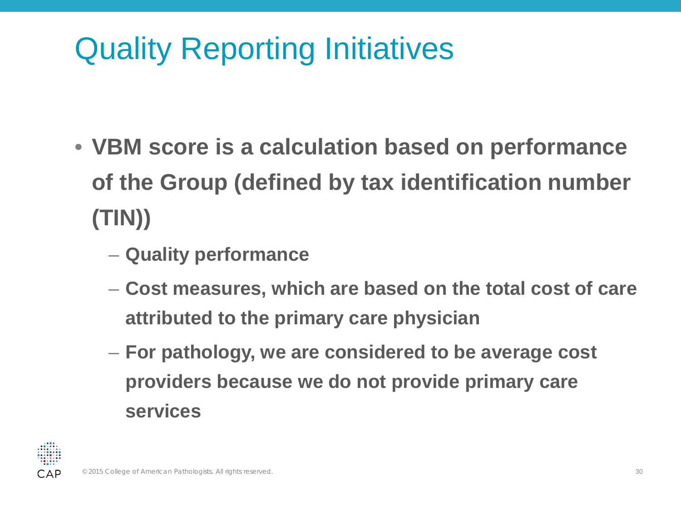# Quality Reporting Initiatives

- **VBM score is a calculation based on performance of the Group (defined by tax identification number (TIN))**
	- **Quality performance**
	- **Cost measures, which are based on the total cost of care attributed to the primary care physician**
	- **For pathology, we are considered to be average cost providers because we do not provide primary care services**

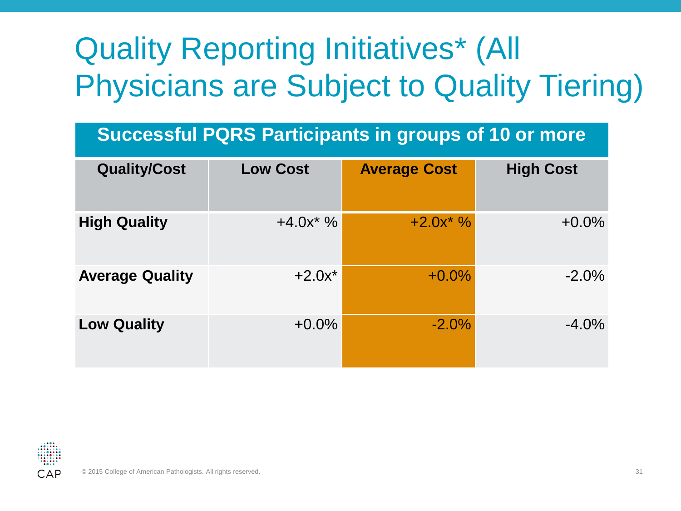# Quality Reporting Initiatives\* (All Physicians are Subject to Quality Tiering)

#### **Successful PQRS Participants in groups of 10 or more**

| <b>Quality/Cost</b>    | <b>Low Cost</b> | <b>Average Cost</b> | <b>High Cost</b> |
|------------------------|-----------------|---------------------|------------------|
| <b>High Quality</b>    | $+4.0x^*$ %     | $+2.0x^*$ %         | $+0.0%$          |
| <b>Average Quality</b> | $+2.0x^*$       | $+0.0\%$            | $-2.0\%$         |
| <b>Low Quality</b>     | $+0.0\%$        | $-2.0%$             | $-4.0%$          |

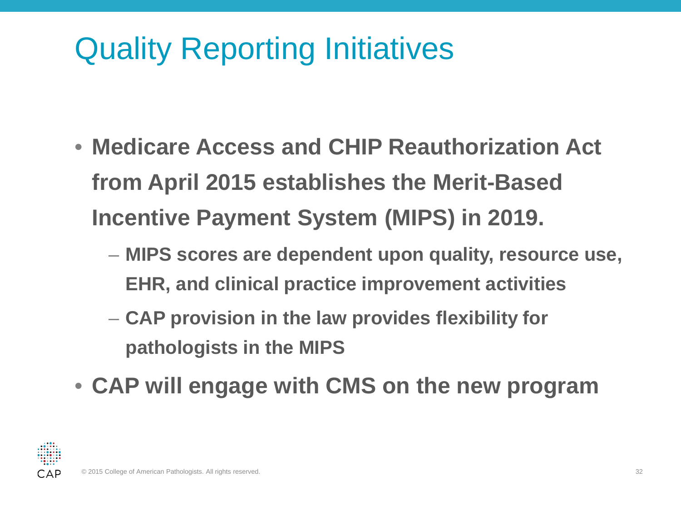## Quality Reporting Initiatives

- **Medicare Access and CHIP Reauthorization Act from April 2015 establishes the Merit-Based Incentive Payment System (MIPS) in 2019.** 
	- **MIPS scores are dependent upon quality, resource use, EHR, and clinical practice improvement activities**
	- **CAP provision in the law provides flexibility for pathologists in the MIPS**
- **CAP will engage with CMS on the new program**

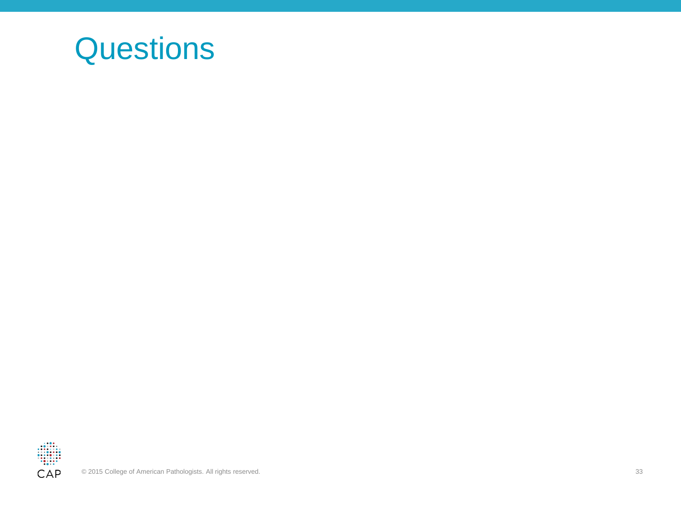#### **Questions**